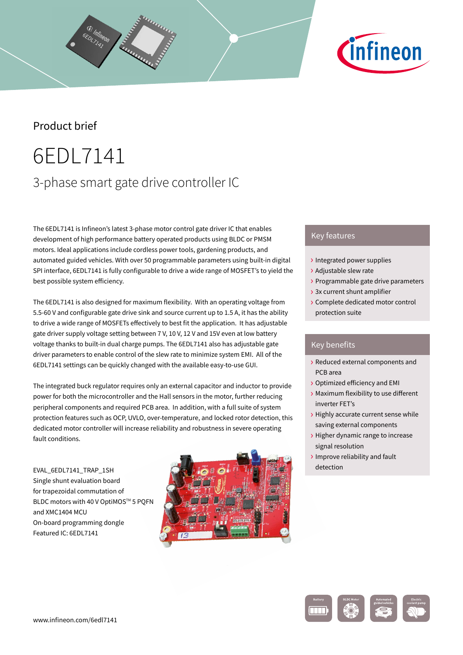# *C*infineon

## Product brief

## 6EDL7141 3-phase smart gate drive controller IC

The 6EDL7141 is Infineon's latest 3-phase motor control gate driver IC that enables development of high performance battery operated products using BLDC or PMSM motors. Ideal applications include cordless power tools, gardening products, and automated guided vehicles. With over 50 programmable parameters using built-in digital SPI interface, 6EDL7141 is fully configurable to drive a wide range of MOSFET's to yield the best possible system efficiency.

The 6EDL7141 is also designed for maximum flexibility. With an operating voltage from 5.5-60 V and configurable gate drive sink and source current up to 1.5 A, it has the ability to drive a wide range of MOSFETs effectively to best fit the application. It has adjustable gate driver supply voltage setting between 7 V, 10 V, 12 V and 15V even at low battery voltage thanks to built-in dual charge pumps. The 6EDL7141 also has adjustable gate driver parameters to enable control of the slew rate to minimize system EMI. All of the 6EDL7141 settings can be quickly changed with the available easy-to-use GUI.

The integrated buck regulator requires only an external capacitor and inductor to provide power for both the microcontroller and the Hall sensors in the motor, further reducing peripheral components and required PCB area. In addition, with a full suite of system protection features such as OCP, UVLO, over-temperature, and locked rotor detection, this dedicated motor controller will increase reliability and robustness in severe operating fault conditions.

EVAL\_6EDL7141\_TRAP\_1SH Single shunt evaluation board for trapezoidal commutation of BLDC motors with 40 V OptiMOS™ 5 POFN and XMC1404 MCU On-board programming dongle Featured IC: 6EDL7141



## Key features

- › Integrated power supplies
- › Adjustable slew rate
- › Programmable gate drive parameters
- › 3x current shunt amplifier
- › Complete dedicated motor control protection suite

## Key benefits

- › Reduced external components and PCB area
- › Optimized efficiency and EMI
- › Maximum flexibility to use different inverter FET's
- › Highly accurate current sense while saving external components
- › Higher dynamic range to increase signal resolution
- › Improve reliability and fault detection